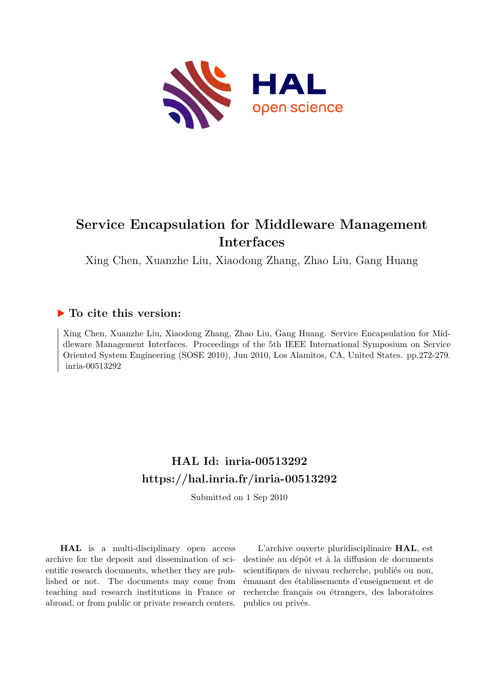

# **Service Encapsulation for Middleware Management Interfaces**

Xing Chen, Xuanzhe Liu, Xiaodong Zhang, Zhao Liu, Gang Huang

### **To cite this version:**

Xing Chen, Xuanzhe Liu, Xiaodong Zhang, Zhao Liu, Gang Huang. Service Encapsulation for Middleware Management Interfaces. Proceedings of the 5th IEEE International Symposium on Service Oriented System Engineering (SOSE 2010), Jun 2010, Los Alamitos, CA, United States. pp.272-279. inria-00513292

## **HAL Id: inria-00513292 <https://hal.inria.fr/inria-00513292>**

Submitted on 1 Sep 2010

**HAL** is a multi-disciplinary open access archive for the deposit and dissemination of scientific research documents, whether they are published or not. The documents may come from teaching and research institutions in France or abroad, or from public or private research centers.

L'archive ouverte pluridisciplinaire **HAL**, est destinée au dépôt et à la diffusion de documents scientifiques de niveau recherche, publiés ou non, émanant des établissements d'enseignement et de recherche français ou étrangers, des laboratoires publics ou privés.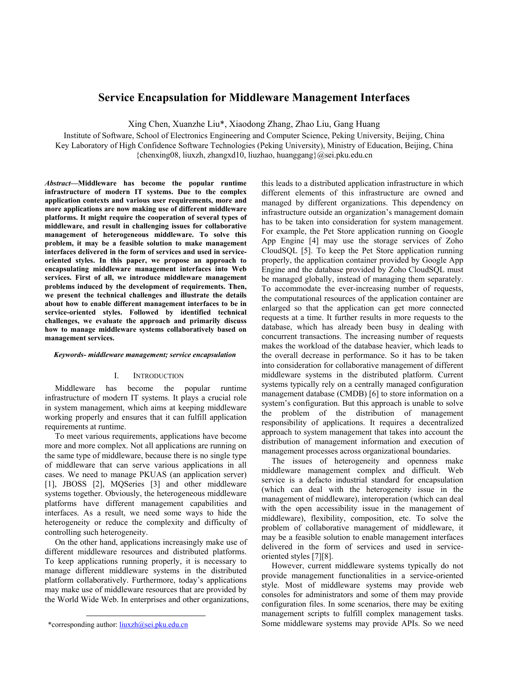### **Service Encapsulation for Middleware Management Interfaces**

Xing Chen, Xuanzhe Liu\*, Xiaodong Zhang, Zhao Liu, Gang Huang

Institute of Software, School of Electronics Engineering and Computer Science, Peking University, Beijing, China Key Laboratory of High Confidence Software Technologies (Peking University), Ministry of Education, Beijing, China {chenxing08, liuxzh, zhangxd10, liuzhao, huanggang}@sei.pku.edu.cn

*Abstract***—Middleware has become the popular runtime infrastructure of modern IT systems. Due to the complex application contexts and various user requirements, more and more applications are now making use of different middleware platforms. It might require the cooperation of several types of middleware, and result in challenging issues for collaborative management of heterogeneous middleware. To solve this problem, it may be a feasible solution to make management interfaces delivered in the form of services and used in serviceoriented styles. In this paper, we propose an approach to encapsulating middleware management interfaces into Web services. First of all, we introduce middleware management problems induced by the development of requirements. Then, we present the technical challenges and illustrate the details about how to enable different management interfaces to be in service-oriented styles. Followed by identified technical challenges, we evaluate the approach and primarily discuss how to manage middleware systems collaboratively based on management services.** 

#### *Keywords- middleware management; service encapsulation*

#### I. INTRODUCTION

Middleware has become the popular runtime infrastructure of modern IT systems. It plays a crucial role in system management, which aims at keeping middleware working properly and ensures that it can fulfill application requirements at runtime.

To meet various requirements, applications have become more and more complex. Not all applications are running on the same type of middleware, because there is no single type of middleware that can serve various applications in all cases. We need to manage PKUAS (an application server) [1], JBOSS [2], MQSeries [3] and other middleware systems together. Obviously, the heterogeneous middleware platforms have different management capabilities and interfaces. As a result, we need some ways to hide the heterogeneity or reduce the complexity and difficulty of controlling such heterogeneity.

On the other hand, applications increasingly make use of different middleware resources and distributed platforms. To keep applications running properly, it is necessary to manage different middleware systems in the distributed platform collaboratively. Furthermore, today's applications may make use of middleware resources that are provided by the World Wide Web. In enterprises and other organizations,

l

this leads to a distributed application infrastructure in which different elements of this infrastructure are owned and managed by different organizations. This dependency on infrastructure outside an organization's management domain has to be taken into consideration for system management. For example, the Pet Store application running on Google App Engine [4] may use the storage services of Zoho CloudSQL [5]. To keep the Pet Store application running properly, the application container provided by Google App Engine and the database provided by Zoho CloudSQL must be managed globally, instead of managing them separately. To accommodate the ever-increasing number of requests, the computational resources of the application container are enlarged so that the application can get more connected requests at a time. It further results in more requests to the database, which has already been busy in dealing with concurrent transactions. The increasing number of requests makes the workload of the database heavier, which leads to the overall decrease in performance. So it has to be taken into consideration for collaborative management of different middleware systems in the distributed platform. Current systems typically rely on a centrally managed configuration management database (CMDB) [6] to store information on a system's configuration. But this approach is unable to solve the problem of the distribution of management responsibility of applications. It requires a decentralized approach to system management that takes into account the distribution of management information and execution of management processes across organizational boundaries.

The issues of heterogeneity and openness make middleware management complex and difficult. Web service is a defacto industrial standard for encapsulation (which can deal with the heterogeneity issue in the management of middleware), interoperation (which can deal with the open accessibility issue in the management of middleware), flexibility, composition, etc. To solve the problem of collaborative management of middleware, it may be a feasible solution to enable management interfaces delivered in the form of services and used in serviceoriented styles [7][8].

However, current middleware systems typically do not provide management functionalities in a service-oriented style. Most of middleware systems may provide web consoles for administrators and some of them may provide configuration files. In some scenarios, there may be exiting management scripts to fulfill complex management tasks. Some middleware systems may provide APIs. So we need

 <sup>\*</sup>corresponding author: liuxzh@sei.pku.edu.cn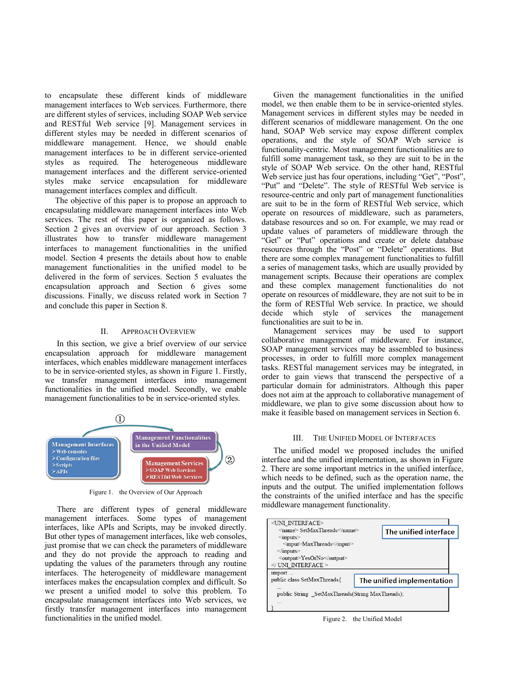to encapsulate these different kinds of middleware management interfaces to Web services. Furthermore, there are different styles of services, including SOAP Web service and RESTful Web service [9]. Management services in different styles may be needed in different scenarios of middleware management. Hence, we should enable management interfaces to be in different service-oriented styles as required. The heterogeneous middleware management interfaces and the different service-oriented styles make service encapsulation for middleware management interfaces complex and difficult.

The objective of this paper is to propose an approach to encapsulating middleware management interfaces into Web services. The rest of this paper is organized as follows. Section 2 gives an overview of our approach. Section 3 illustrates how to transfer middleware management interfaces to management functionalities in the unified model. Section 4 presents the details about how to enable management functionalities in the unified model to be delivered in the form of services. Section 5 evaluates the encapsulation approach and Section 6 gives some discussions. Finally, we discuss related work in Section 7 and conclude this paper in Section 8.

#### II. APPROACH OVERVIEW

In this section, we give a brief overview of our service encapsulation approach for middleware management interfaces, which enables middleware management interfaces to be in service-oriented styles, as shown in Figure 1. Firstly, we transfer management interfaces into management functionalities in the unified model. Secondly, we enable management functionalities to be in service-oriented styles.



Figure 1. the Overview of Our Approach

There are different types of general middleware management interfaces. Some types of management interfaces, like APIs and Scripts, may be invoked directly. But other types of management interfaces, like web consoles, just promise that we can check the parameters of middleware and they do not provide the approach to reading and updating the values of the parameters through any routine interfaces. The heterogeneity of middleware management interfaces makes the encapsulation complex and difficult. So we present a unified model to solve this problem. To encapsulate management interfaces into Web services, we firstly transfer management interfaces into management functionalities in the unified model.

Given the management functionalities in the unified model, we then enable them to be in service-oriented styles. Management services in different styles may be needed in different scenarios of middleware management. On the one hand, SOAP Web service may expose different complex operations, and the style of SOAP Web service is functionality-centric. Most management functionalities are to fulfill some management task, so they are suit to be in the style of SOAP Web service. On the other hand, RESTful Web service just has four operations, including "Get", "Post", "Put" and "Delete". The style of RESTful Web service is resource-centric and only part of management functionalities are suit to be in the form of RESTful Web service, which operate on resources of middleware, such as parameters, database resources and so on. For example, we may read or update values of parameters of middleware through the "Get" or "Put" operations and create or delete database resources through the "Post" or "Delete" operations. But there are some complex management functionalities to fulfill a series of management tasks, which are usually provided by management scripts. Because their operations are complex and these complex management functionalities do not operate on resources of middleware, they are not suit to be in the form of RESTful Web service. In practice, we should decide which style of services the management functionalities are suit to be in.

Management services may be used to support collaborative management of middleware. For instance, SOAP management services may be assembled to business processes, in order to fulfill more complex management tasks. RESTful management services may be integrated, in order to gain views that transcend the perspective of a particular domain for administrators. Although this paper does not aim at the approach to collaborative management of middleware, we plan to give some discussion about how to make it feasible based on management services in Section 6.

#### III. THE UNIFIED MODEL OF INTERFACES

The unified model we proposed includes the unified interface and the unified implementation, as shown in Figure 2. There are some important metrics in the unified interface, which needs to be defined, such as the operation name, the inputs and the output. The unified implementation follows the constraints of the unified interface and has the specific middleware management functionality.



Figure 2. the Unified Model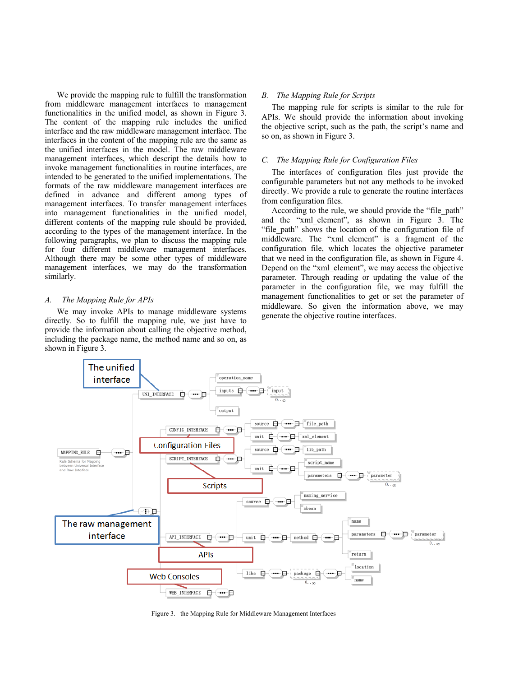We provide the mapping rule to fulfill the transformation from middleware management interfaces to management functionalities in the unified model, as shown in Figure 3. The content of the mapping rule includes the unified interface and the raw middleware management interface. The interfaces in the content of the mapping rule are the same as the unified interfaces in the model. The raw middleware management interfaces, which descript the details how to invoke management functionalities in routine interfaces, are intended to be generated to the unified implementations. The formats of the raw middleware management interfaces are defined in advance and different among types of management interfaces. To transfer management interfaces into management functionalities in the unified model, different contents of the mapping rule should be provided, according to the types of the management interface. In the following paragraphs, we plan to discuss the mapping rule for four different middleware management interfaces. Although there may be some other types of middleware management interfaces, we may do the transformation similarly.

#### *A. The Mapping Rule for APIs*

We may invoke APIs to manage middleware systems directly. So to fulfill the mapping rule, we just have to provide the information about calling the objective method, including the package name, the method name and so on, as shown in Figure 3.

#### *B. The Mapping Rule for Scripts*

The mapping rule for scripts is similar to the rule for APIs. We should provide the information about invoking the objective script, such as the path, the script's name and so on, as shown in Figure 3.

#### *C. The Mapping Rule for Configuration Files*

The interfaces of configuration files just provide the configurable parameters but not any methods to be invoked directly. We provide a rule to generate the routine interfaces from configuration files.

According to the rule, we should provide the "file\_path" and the "xml\_element", as shown in Figure 3. The "file path" shows the location of the configuration file of middleware. The "xml\_element" is a fragment of the configuration file, which locates the objective parameter that we need in the configuration file, as shown in Figure 4. Depend on the "xml\_element", we may access the objective parameter. Through reading or updating the value of the parameter in the configuration file, we may fulfill the management functionalities to get or set the parameter of middleware. So given the information above, we may generate the objective routine interfaces.



Figure 3. the Mapping Rule for Middleware Management Interfaces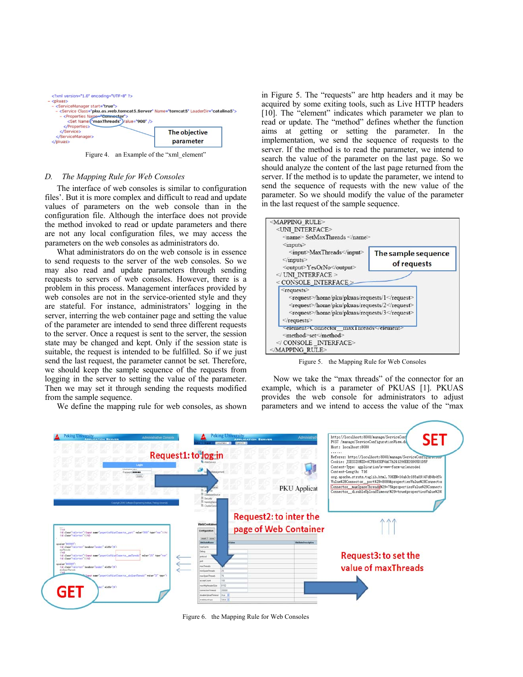

Figure 4. an Example of the "xml\_element"

#### *D. The Mapping Rule for Web Consoles*

The interface of web consoles is similar to configuration files'. But it is more complex and difficult to read and update values of parameters on the web console than in the configuration file. Although the interface does not provide the method invoked to read or update parameters and there are not any local configuration files, we may access the parameters on the web consoles as administrators do.

What administrators do on the web console is in essence to send requests to the server of the web consoles. So we may also read and update parameters through sending requests to servers of web consoles. However, there is a problem in this process. Management interfaces provided by web consoles are not in the service-oriented style and they are stateful. For instance, administrators' logging in the server, interring the web container page and setting the value of the parameter are intended to send three different requests to the server. Once a request is sent to the server, the session state may be changed and kept. Only if the session state is suitable, the request is intended to be fulfilled. So if we just send the last request, the parameter cannot be set. Therefore, we should keep the sample sequence of the requests from logging in the server to setting the value of the parameter. Then we may set it through sending the requests modified from the sample sequence.

We define the mapping rule for web consoles, as shown

in Figure 5. The "requests" are http headers and it may be acquired by some exiting tools, such as Live HTTP headers [10]. The "element" indicates which parameter we plan to read or update. The "method" defines whether the function aims at getting or setting the parameter. In the implementation, we send the sequence of requests to the server. If the method is to read the parameter, we intend to search the value of the parameter on the last page. So we should analyze the content of the last page returned from the server. If the method is to update the parameter, we intend to send the sequence of requests with the new value of the parameter. So we should modify the value of the parameter in the last request of the sample sequence.



Figure 5. the Mapping Rule for Web Consoles

Now we take the "max threads" of the connector for an example, which is a parameter of PKUAS [1]. PKUAS provides the web console for administrators to adjust parameters and we intend to access the value of the "max



Figure 6. the Mapping Rule for Web Consoles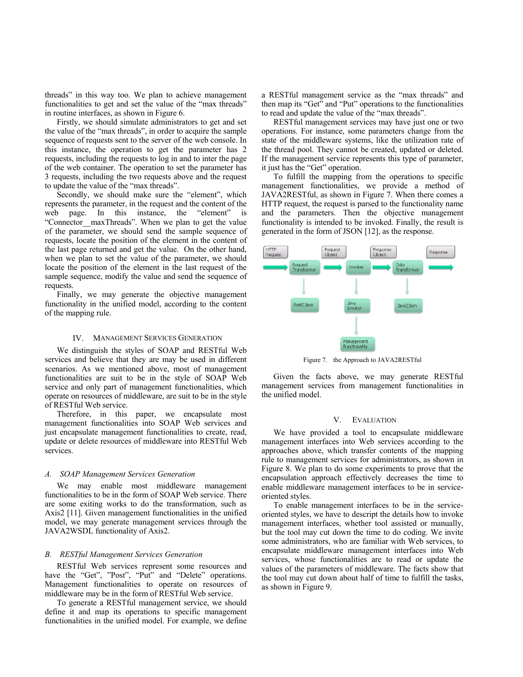threads" in this way too. We plan to achieve management functionalities to get and set the value of the "max threads" in routine interfaces, as shown in Figure 6.

Firstly, we should simulate administrators to get and set the value of the "max threads", in order to acquire the sample sequence of requests sent to the server of the web console. In this instance, the operation to get the parameter has 2 requests, including the requests to log in and to inter the page of the web container. The operation to set the parameter has 3 requests, including the two requests above and the request to update the value of the "max threads".

Secondly, we should make sure the "element", which represents the parameter, in the request and the content of the web page. In this instance, the "element" is "Connector\_\_maxThreads". When we plan to get the value of the parameter, we should send the sample sequence of requests, locate the position of the element in the content of the last page returned and get the value. On the other hand, when we plan to set the value of the parameter, we should locate the position of the element in the last request of the sample sequence, modify the value and send the sequence of requests.

Finally, we may generate the objective management functionality in the unified model, according to the content of the mapping rule.

#### IV. MANAGEMENT SERVICES GENERATION

We distinguish the styles of SOAP and RESTful Web services and believe that they are may be used in different scenarios. As we mentioned above, most of management functionalities are suit to be in the style of SOAP Web service and only part of management functionalities, which operate on resources of middleware, are suit to be in the style of RESTful Web service.

Therefore, in this paper, we encapsulate most management functionalities into SOAP Web services and just encapsulate management functionalities to create, read, update or delete resources of middleware into RESTful Web services.

#### *A. SOAP Management Services Generation*

We may enable most middleware management functionalities to be in the form of SOAP Web service. There are some exiting works to do the transformation, such as Axis2 [11]. Given management functionalities in the unified model, we may generate management services through the JAVA2WSDL functionality of Axis2.

#### *B. RESTful Management Services Generation*

RESTful Web services represent some resources and have the "Get", "Post", "Put" and "Delete" operations. Management functionalities to operate on resources of middleware may be in the form of RESTful Web service.

To generate a RESTful management service, we should define it and map its operations to specific management functionalities in the unified model. For example, we define a RESTful management service as the "max threads" and then map its "Get" and "Put" operations to the functionalities to read and update the value of the "max threads".

RESTful management services may have just one or two operations. For instance, some parameters change from the state of the middleware systems, like the utilization rate of the thread pool. They cannot be created, updated or deleted. If the management service represents this type of parameter, it just has the "Get" operation.

To fulfill the mapping from the operations to specific management functionalities, we provide a method of JAVA2RESTful, as shown in Figure 7. When there comes a HTTP request, the request is parsed to the functionality name and the parameters. Then the objective management functionality is intended to be invoked. Finally, the result is generated in the form of JSON [12], as the response.



Figure 7. the Approach to JAVA2RESTful

Given the facts above, we may generate RESTful management services from management functionalities in the unified model.

#### V. EVALUATION

We have provided a tool to encapsulate middleware management interfaces into Web services according to the approaches above, which transfer contents of the mapping rule to management services for administrators, as shown in Figure 8. We plan to do some experiments to prove that the encapsulation approach effectively decreases the time to enable middleware management interfaces to be in serviceoriented styles.

To enable management interfaces to be in the serviceoriented styles, we have to descript the details how to invoke management interfaces, whether tool assisted or manually, but the tool may cut down the time to do coding. We invite some administrators, who are familiar with Web services, to encapsulate middleware management interfaces into Web services, whose functionalities are to read or update the values of the parameters of middleware. The facts show that the tool may cut down about half of time to fulfill the tasks, as shown in Figure 9.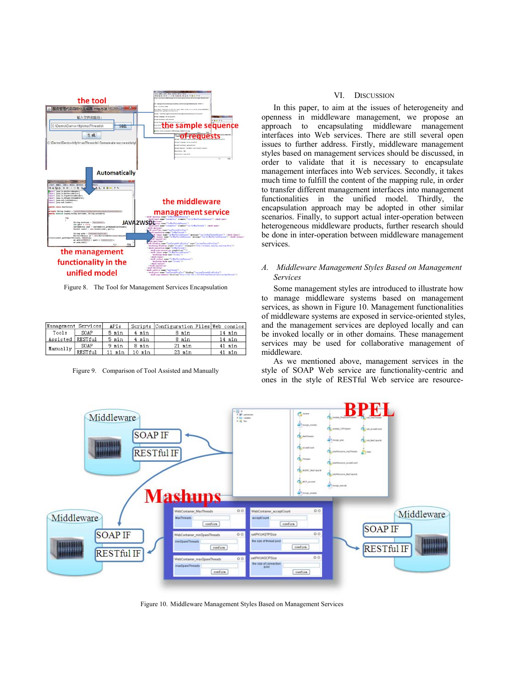

Figure 8. The Tool for Management Services Encapsulation

| Management Services |         | APIs  |        | Scripts Configuration Files Web conslos |        |
|---------------------|---------|-------|--------|-----------------------------------------|--------|
| Tools               | SOAP    | 5 min | 4 min  | 8 min                                   | 14 min |
| Assisted   RESTful  |         | 5 min | 4 min  | 8 min                                   | 14 min |
| Manually            | SOAP    | 9 min | 8 min  | $21$ min                                | 41 min |
|                     | RESTful | min   | 10 min | 23 min                                  | 41 min |

Figure 9. Comparison of Tool Assisted and Manually

#### VI. DISCUSSION

In this paper, to aim at the issues of heterogeneity and openness in middleware management, we propose an approach to encapsulating middleware management interfaces into Web services. There are still several open issues to further address. Firstly, middleware management styles based on management services should be discussed, in order to validate that it is necessary to encapsulate management interfaces into Web services. Secondly, it takes much time to fulfill the content of the mapping rule, in order to transfer different management interfaces into management functionalities in the unified model. Thirdly, the encapsulation approach may be adopted in other similar scenarios. Finally, to support actual inter-operation between heterogeneous middleware products, further research should be done in inter-operation between middleware management services.

#### *A. Middleware Management Styles Based on Management Services*

Some management styles are introduced to illustrate how to manage middleware systems based on management services, as shown in Figure 10. Management functionalities of middleware systems are exposed in service-oriented styles, and the management services are deployed locally and can be invoked locally or in other domains. These management services may be used for collaborative management of middleware.

As we mentioned above, management services in the style of SOAP Web service are functionality-centric and ones in the style of RESTful Web service are resource-



Figure 10. Middleware Management Styles Based on Management Services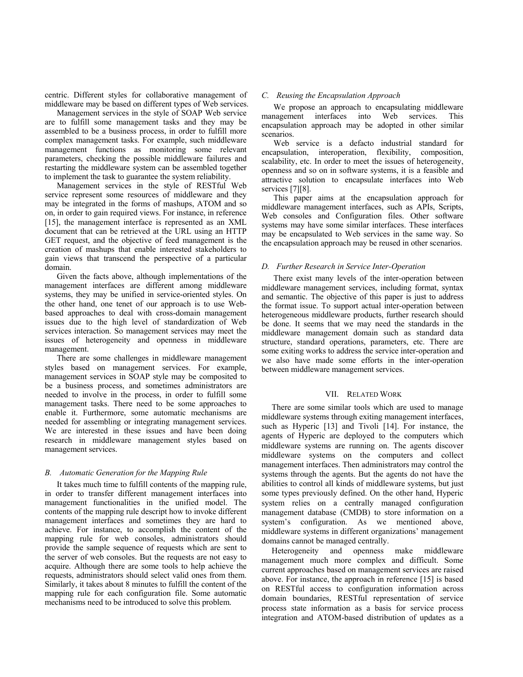centric. Different styles for collaborative management of middleware may be based on different types of Web services.

Management services in the style of SOAP Web service are to fulfill some management tasks and they may be assembled to be a business process, in order to fulfill more complex management tasks. For example, such middleware management functions as monitoring some relevant parameters, checking the possible middleware failures and restarting the middleware system can be assembled together to implement the task to guarantee the system reliability.

Management services in the style of RESTful Web service represent some resources of middleware and they may be integrated in the forms of mashups, ATOM and so on, in order to gain required views. For instance, in reference [15], the management interface is represented as an XML document that can be retrieved at the URL using an HTTP GET request, and the objective of feed management is the creation of mashups that enable interested stakeholders to gain views that transcend the perspective of a particular domain.

Given the facts above, although implementations of the management interfaces are different among middleware systems, they may be unified in service-oriented styles. On the other hand, one tenet of our approach is to use Webbased approaches to deal with cross-domain management issues due to the high level of standardization of Web services interaction. So management services may meet the issues of heterogeneity and openness in middleware management.

There are some challenges in middleware management styles based on management services. For example, management services in SOAP style may be composited to be a business process, and sometimes administrators are needed to involve in the process, in order to fulfill some management tasks. There need to be some approaches to enable it. Furthermore, some automatic mechanisms are needed for assembling or integrating management services. We are interested in these issues and have been doing research in middleware management styles based on management services.

#### *B. Automatic Generation for the Mapping Rule*

It takes much time to fulfill contents of the mapping rule, in order to transfer different management interfaces into management functionalities in the unified model. The contents of the mapping rule descript how to invoke different management interfaces and sometimes they are hard to achieve. For instance, to accomplish the content of the mapping rule for web consoles, administrators should provide the sample sequence of requests which are sent to the server of web consoles. But the requests are not easy to acquire. Although there are some tools to help achieve the requests, administrators should select valid ones from them. Similarly, it takes about 8 minutes to fulfill the content of the mapping rule for each configuration file. Some automatic mechanisms need to be introduced to solve this problem.

#### *C. Reusing the Encapsulation Approach*

We propose an approach to encapsulating middleware management interfaces into Web services. This encapsulation approach may be adopted in other similar scenarios.

Web service is a defacto industrial standard for encapsulation, interoperation, flexibility, composition, scalability, etc. In order to meet the issues of heterogeneity, openness and so on in software systems, it is a feasible and attractive solution to encapsulate interfaces into Web services [7][8].

This paper aims at the encapsulation approach for middleware management interfaces, such as APIs, Scripts, Web consoles and Configuration files. Other software systems may have some similar interfaces. These interfaces may be encapsulated to Web services in the same way. So the encapsulation approach may be reused in other scenarios.

#### *D. Further Research in Service Inter-Operation*

There exist many levels of the inter-operation between middleware management services, including format, syntax and semantic. The objective of this paper is just to address the format issue. To support actual inter-operation between heterogeneous middleware products, further research should be done. It seems that we may need the standards in the middleware management domain such as standard data structure, standard operations, parameters, etc. There are some exiting works to address the service inter-operation and we also have made some efforts in the inter-operation between middleware management services.

#### VII. RELATED WORK

There are some similar tools which are used to manage middleware systems through exiting management interfaces, such as Hyperic [13] and Tivoli [14]. For instance, the agents of Hyperic are deployed to the computers which middleware systems are running on. The agents discover middleware systems on the computers and collect management interfaces. Then administrators may control the systems through the agents. But the agents do not have the abilities to control all kinds of middleware systems, but just some types previously defined. On the other hand, Hyperic system relies on a centrally managed configuration management database (CMDB) to store information on a system's configuration. As we mentioned above, middleware systems in different organizations' management domains cannot be managed centrally.

Heterogeneity and openness make middleware management much more complex and difficult. Some current approaches based on management services are raised above. For instance, the approach in reference [15] is based on RESTful access to configuration information across domain boundaries, RESTful representation of service process state information as a basis for service process integration and ATOM-based distribution of updates as a